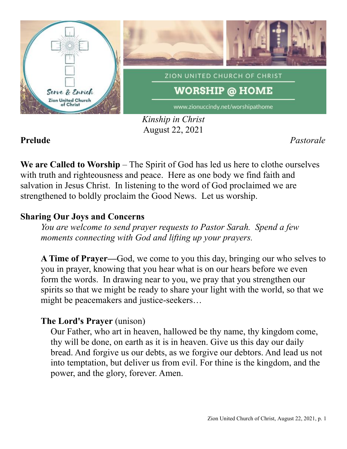

*Kinship in Christ* August 22, 2021

**Prelude** *Pastorale*

**We are Called to Worship** – The Spirit of God has led us here to clothe ourselves with truth and righteousness and peace. Here as one body we find faith and salvation in Jesus Christ. In listening to the word of God proclaimed we are strengthened to boldly proclaim the Good News. Let us worship.

## **Sharing Our Joys and Concerns**

*You are welcome to send prayer requests to Pastor Sarah. Spend a few moments connecting with God and lifting up your prayers.*

**A Time of Prayer—**God, we come to you this day, bringing our who selves to you in prayer, knowing that you hear what is on our hears before we even form the words. In drawing near to you, we pray that you strengthen our spirits so that we might be ready to share your light with the world, so that we might be peacemakers and justice-seekers…

# **The Lord's Prayer** (unison)

Our Father, who art in heaven, hallowed be thy name, thy kingdom come, thy will be done, on earth as it is in heaven. Give us this day our daily bread. And forgive us our debts, as we forgive our debtors. And lead us not into temptation, but deliver us from evil. For thine is the kingdom, and the power, and the glory, forever. Amen.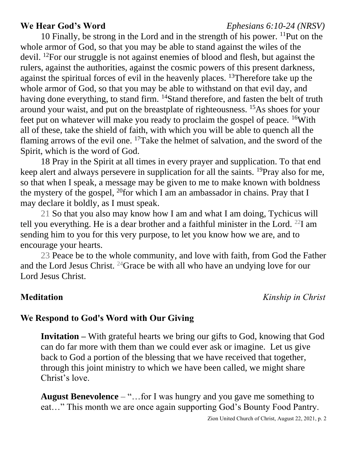## **We Hear God's Word** *Ephesians 6:10-24 (NRSV)*

10 Finally, be strong in the Lord and in the strength of his power. <sup>11</sup>Put on the whole armor of God, so that you may be able to stand against the wiles of the devil. <sup>12</sup>For our struggle is not against enemies of blood and flesh, but against the rulers, against the authorities, against the cosmic powers of this present darkness, against the spiritual forces of evil in the heavenly places. <sup>13</sup>Therefore take up the whole armor of God, so that you may be able to withstand on that evil day, and having done everything, to stand firm. <sup>14</sup>Stand therefore, and fasten the belt of truth around your waist, and put on the breastplate of righteousness. <sup>15</sup>As shoes for your feet put on whatever will make you ready to proclaim the gospel of peace. <sup>16</sup>With all of these, take the shield of faith, with which you will be able to quench all the flaming arrows of the evil one. <sup>17</sup>Take the helmet of salvation, and the sword of the Spirit, which is the word of God.

18 Pray in the Spirit at all times in every prayer and supplication. To that end keep alert and always persevere in supplication for all the saints. <sup>19</sup>Pray also for me, so that when I speak, a message may be given to me to make known with boldness the mystery of the gospel,  $^{20}$  for which I am an ambassador in chains. Pray that I may declare it boldly, as I must speak.

21 So that you also may know how I am and what I am doing, Tychicus will tell you everything. He is a dear brother and a faithful minister in the Lord. <sup>22</sup>I am sending him to you for this very purpose, to let you know how we are, and to encourage your hearts.

23 Peace be to the whole community, and love with faith, from God the Father and the Lord Jesus Christ. <sup>24</sup>Grace be with all who have an undying love for our Lord Jesus Christ.

**Meditation** *Kinship in Christ*

## **We Respond to God's Word with Our Giving**

**Invitation –** With grateful hearts we bring our gifts to God, knowing that God can do far more with them than we could ever ask or imagine. Let us give back to God a portion of the blessing that we have received that together, through this joint ministry to which we have been called, we might share Christ's love.

**August Benevolence** – "…for I was hungry and you gave me something to eat…" This month we are once again supporting God's Bounty Food Pantry.